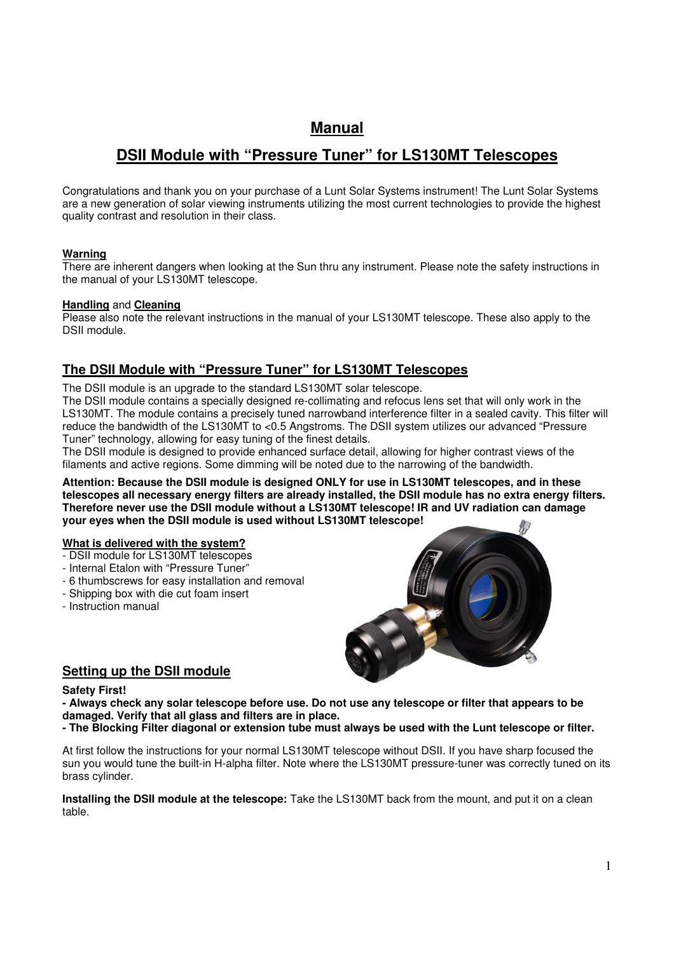## **Manual**

# **DSII Module with "Pressure Tuner" for LS130MT Telescopes**

Congratulations and thank you on your purchase of a Lunt Solar Systems instrument! The Lunt Solar Systems are a new generation of solar viewing instruments utilizing the most current technologies to provide the highest quality contrast and resolution in their class.

### **Warning**

There are inherent dangers when looking at the Sun thru any instrument. Please note the safety instructions in the manual of your LS130MT telescope.

### **Handling** and **Cleaning**

Please also note the relevant instructions in the manual of your LS130MT telescope. These also apply to the DSII module.

### **The DSII Module with "Pressure Tuner" for LS130MT Telescopes**

The DSII module is an upgrade to the standard LS130MT solar telescope.

The DSII module contains a specially designed re-collimating and refocus lens set that will only work in the LS130MT. The module contains a precisely tuned narrowband interference filter in a sealed cavity. This filter will reduce the bandwidth of the LS130MT to <0.5 Angstroms. The DSII system utilizes our advanced "Pressure Tuner" technology, allowing for easy tuning of the finest details.

The DSII module is designed to provide enhanced surface detail, allowing for higher contrast views of the filaments and active regions. Some dimming will be noted due to the narrowing of the bandwidth.

**Attention: Because the DSII module is designed ONLY for use in LS130MT telescopes, and in these telescopes all necessary energy filters are already installed, the DSII module has no extra energy filters. Therefore never use the DSII module without a LS130MT telescope! IR and UV radiation can damage your eyes when the DSII module is used without LS130MT telescope!** 

#### **What is delivered with the system?**

- DSII module for LS130MT telescopes
- Internal Etalon with "Pressure Tuner"
- 6 thumbscrews for easy installation and removal
- Shipping box with die cut foam insert
- Instruction manual



### **Setting up the DSII module**

#### **Safety First!**

**- Always check any solar telescope before use. Do not use any telescope or filter that appears to be damaged. Verify that all glass and filters are in place.**

**- The Blocking Filter diagonal or extension tube must always be used with the Lunt telescope or filter.**

At first follow the instructions for your normal LS130MT telescope without DSII. If you have sharp focused the sun you would tune the built-in H-alpha filter. Note where the LS130MT pressure-tuner was correctly tuned on its brass cylinder.

**Installing the DSII module at the telescope:** Take the LS130MT back from the mount, and put it on a clean table.